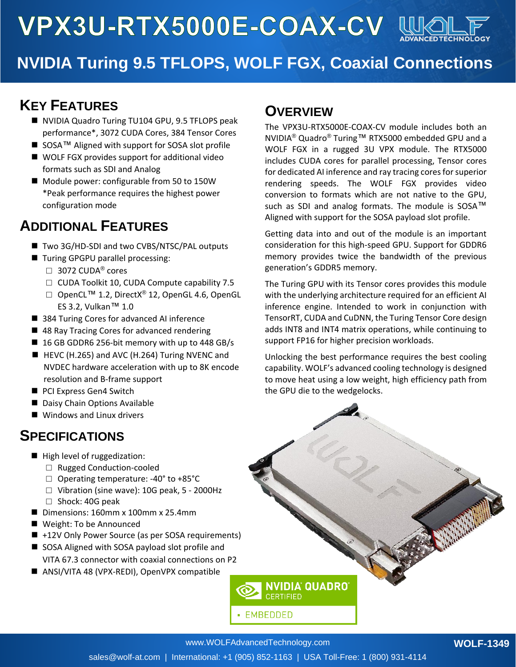

## **NVIDIA Turing 9.5 TFLOPS, WOLF FGX, Coaxial Connections**

### **KEY FEATURES**

- NVIDIA Quadro Turing TU104 GPU, 9.5 TFLOPS peak performance\*, 3072 CUDA Cores, 384 Tensor Cores
- SOSA<sup>™</sup> Aligned with support for SOSA slot profile
- WOLF FGX provides support for additional video formats such as SDI and Analog
- Module power: configurable from 50 to 150W \*Peak performance requires the highest power configuration mode

## **ADDITIONAL FEATURES**

- Two 3G/HD-SDI and two CVBS/NTSC/PAL outputs
- Turing GPGPU parallel processing:
	- $\Box$  3072 CUDA<sup>®</sup> cores
	- □ CUDA Toolkit 10, CUDA Compute capability 7.5
	- □ OpenCL<sup>TM</sup> 1.2, DirectX<sup>®</sup> 12, OpenGL 4.6, OpenGL ES 3.2, Vulkan™ 1.0
- 384 Turing Cores for advanced AI inference
- 48 Ray Tracing Cores for advanced rendering
- 16 GB GDDR6 256-bit memory with up to 448 GB/s
- HEVC (H.265) and AVC (H.264) Turing NVENC and NVDEC hardware acceleration with up to 8K encode resolution and B-frame support
- PCI Express Gen4 Switch
- Daisy Chain Options Available
- Windows and Linux drivers

### **SPECIFICATIONS**

- High level of ruggedization:
	- □ Rugged Conduction-cooled
	- □ Operating temperature: -40° to +85°C
	- □ Vibration (sine wave): 10G peak, 5 2000Hz □ Shock: 40G peak
- Dimensions: 160mm x 100mm x 25.4mm
- Weight: To be Announced
- +12V Only Power Source (as per SOSA requirements)
- SOSA Aligned with SOSA payload slot profile and
	- VITA 67.3 connector with coaxial connections on P2
- ANSI/VITA 48 (VPX-REDI), OpenVPX compatible

#### **OVERVIEW**

The VPX3U-RTX5000E-COAX-CV module includes both an NVIDIA® Quadro® Turing™ RTX5000 embedded GPU and a WOLF FGX in a rugged 3U VPX module. The RTX5000 includes CUDA cores for parallel processing, Tensor cores for dedicated AI inference and ray tracing cores for superior rendering speeds. The WOLF FGX provides video conversion to formats which are not native to the GPU, such as SDI and analog formats. The module is SOSA™ Aligned with support for the SOSA payload slot profile.

Getting data into and out of the module is an important consideration for this high-speed GPU. Support for GDDR6 memory provides twice the bandwidth of the previous generation's GDDR5 memory.

The Turing GPU with its Tensor cores provides this module with the underlying architecture required for an efficient AI inference engine. Intended to work in conjunction with TensorRT, CUDA and CuDNN, the Turing Tensor Core design adds INT8 and INT4 matrix operations, while continuing to support FP16 for higher precision workloads.

Unlocking the best performance requires the best cooling capability. WOLF's advanced cooling technology is designed to move heat using a low weight, high efficiency path from the GPU die to the wedgelocks.



**EMBEDDED** 

NVIDIA QUADRO

**CERTIFIED**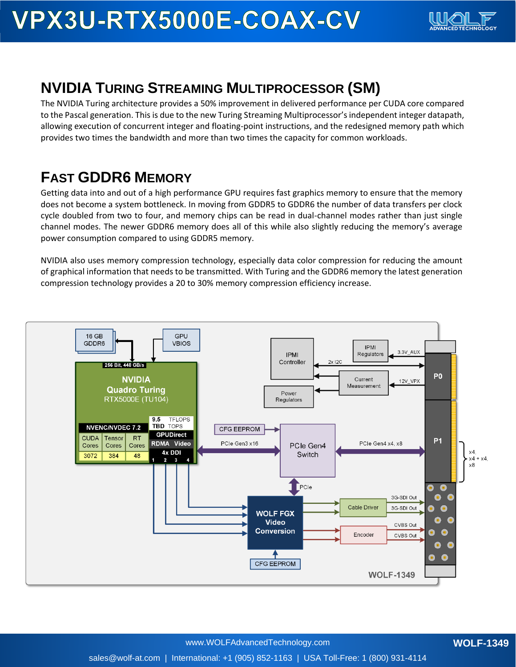

## **NVIDIA TURING STREAMING MULTIPROCESSOR (SM)**

The NVIDIA Turing architecture provides a 50% improvement in delivered performance per CUDA core compared to the Pascal generation. This is due to the new Turing Streaming Multiprocessor's independent integer datapath, allowing execution of concurrent integer and floating-point instructions, and the redesigned memory path which provides two times the bandwidth and more than two times the capacity for common workloads.

## **FAST GDDR6 MEMORY**

Getting data into and out of a high performance GPU requires fast graphics memory to ensure that the memory does not become a system bottleneck. In moving from GDDR5 to GDDR6 the number of data transfers per clock cycle doubled from two to four, and memory chips can be read in dual-channel modes rather than just single channel modes. The newer GDDR6 memory does all of this while also slightly reducing the memory's average power consumption compared to using GDDR5 memory.

NVIDIA also uses memory compression technology, especially data color compression for reducing the amount of graphical information that needs to be transmitted. With Turing and the GDDR6 memory the latest generation compression technology provides a 20 to 30% memory compression efficiency increase.

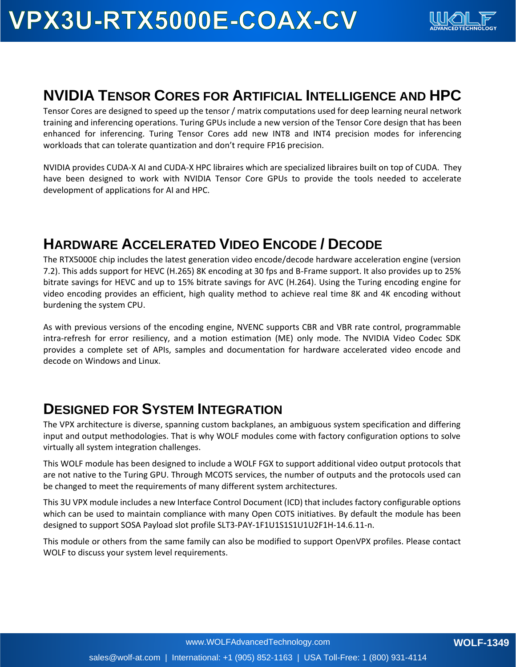

#### **NVIDIA TENSOR CORES FOR ARTIFICIAL INTELLIGENCE AND HPC**

Tensor Cores are designed to speed up the tensor / matrix computations used for deep learning neural network training and inferencing operations. Turing GPUs include a new version of the Tensor Core design that has been enhanced for inferencing. Turing Tensor Cores add new INT8 and INT4 precision modes for inferencing workloads that can tolerate quantization and don't require FP16 precision.

NVIDIA provides CUDA-X AI and CUDA-X HPC libraires which are specialized libraires built on top of CUDA. They have been designed to work with NVIDIA Tensor Core GPUs to provide the tools needed to accelerate development of applications for AI and HPC.

### **HARDWARE ACCELERATED VIDEO ENCODE / DECODE**

The RTX5000E chip includes the latest generation video encode/decode hardware acceleration engine (version 7.2). This adds support for HEVC (H.265) 8K encoding at 30 fps and B-Frame support. It also provides up to 25% bitrate savings for HEVC and up to 15% bitrate savings for AVC (H.264). Using the Turing encoding engine for video encoding provides an efficient, high quality method to achieve real time 8K and 4K encoding without burdening the system CPU.

As with previous versions of the encoding engine, NVENC supports CBR and VBR rate control, programmable intra-refresh for error resiliency, and a motion estimation (ME) only mode. The NVIDIA Video Codec SDK provides a complete set of APIs, samples and documentation for hardware accelerated video encode and decode on Windows and Linux.

### **DESIGNED FOR SYSTEM INTEGRATION**

The VPX architecture is diverse, spanning custom backplanes, an ambiguous system specification and differing input and output methodologies. That is why WOLF modules come with factory configuration options to solve virtually all system integration challenges.

This WOLF module has been designed to include a WOLF FGX to support additional video output protocols that are not native to the Turing GPU. Through MCOTS services, the number of outputs and the protocols used can be changed to meet the requirements of many different system architectures.

This 3U VPX module includes a new Interface Control Document (ICD) that includes factory configurable options which can be used to maintain compliance with many Open COTS initiatives. By default the module has been designed to support SOSA Payload slot profile SLT3-PAY-1F1U1S1S1U1U2F1H-14.6.11-n.

This module or others from the same family can also be modified to support OpenVPX profiles. Please contact WOLF to discuss your system level requirements.